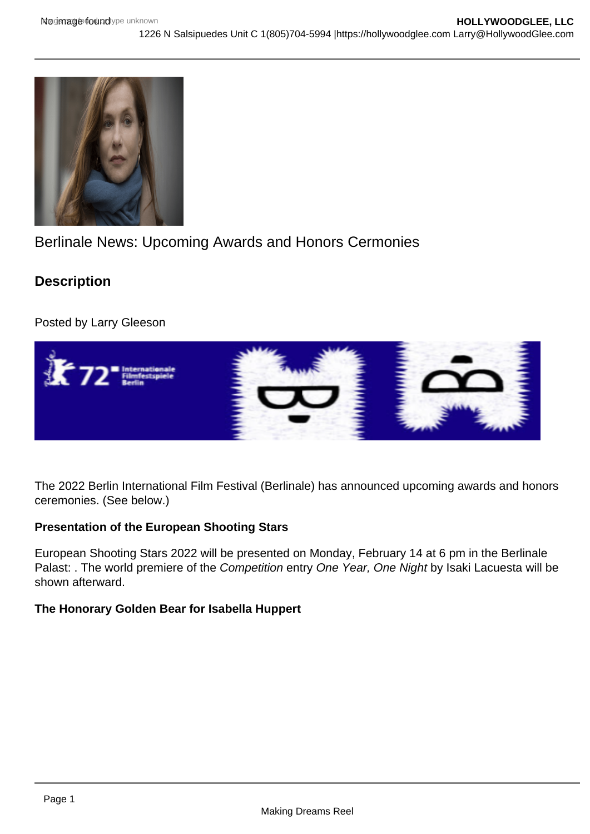# Berlinale News: Upcoming Awards and Honors Cermonies

**Description** 

Posted by Larry Gleeson

The 2022 Berlin International Film Festival (Berlinale) has announced upcoming awards and honors ceremonies. (See below.)

Presentation of the European Shooting Stars

European Shooting Stars 2022 will be presented on Monday, February 14 at 6 pm in the Berlinale Palast: . The world premiere of the Competition entry One Year, One Night by Isaki Lacuesta will be shown afterward.

The Honorary Golden Bear for Isabella Huppert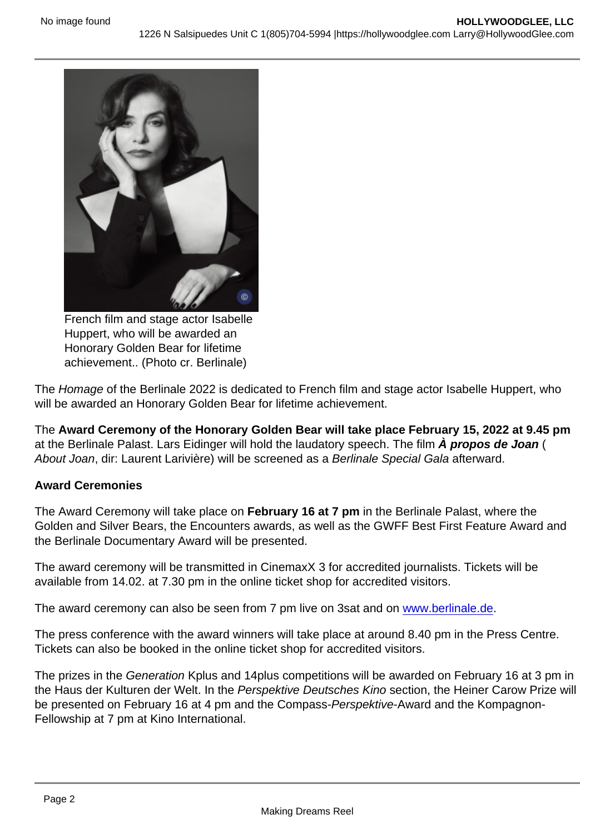French film and stage actor Isabelle Huppert, who will be awarded an Honorary Golden Bear for lifetime achievement.. (Photo cr. Berlinale)

The Homage of the Berlinale 2022 is dedicated to French film and stage actor Isabelle Huppert, who will be awarded an Honorary Golden Bear for lifetime achievement.

The Award Ceremony of the Honorary Golden Bear will take place February 15, 2022 at 9.45 pm at the Berlinale Palast. Lars Eidinger will hold the laudatory speech. The film À propos de Joan ( About Joan, dir: Laurent Larivière) will be screened as a Berlinale Special Gala afterward.

#### Award Ceremonies

The Award Ceremony will take place on February 16 at 7 pm in the Berlinale Palast, where the Golden and Silver Bears, the Encounters awards, as well as the GWFF Best First Feature Award and the Berlinale Documentary Award will be presented.

The award ceremony will be transmitted in CinemaxX 3 for accredited journalists. Tickets will be available from 14.02. at 7.30 pm in the online ticket shop for accredited visitors.

The award ceremony can also be seen from 7 pm live on 3sat and on [www.berlinale.de.](https://www.berlinale.de/en/home.html)

The press conference with the award winners will take place at around 8.40 pm in the Press Centre. Tickets can also be booked in the online ticket shop for accredited visitors.

The prizes in the Generation Kplus and 14plus competitions will be awarded on February 16 at 3 pm in the Haus der Kulturen der Welt. In the Perspektive Deutsches Kino section, the Heiner Carow Prize will be presented on February 16 at 4 pm and the Compass-Perspektive-Award and the Kompagnon-Fellowship at 7 pm at Kino International.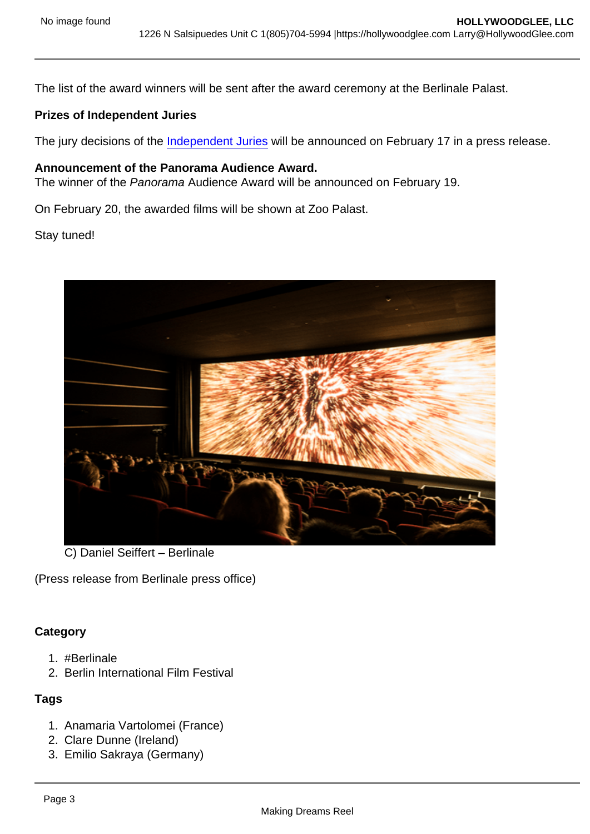The list of the award winners will be sent after the award ceremony at the Berlinale Palast.

Prizes of Independent Juries

The jury decisions of the [Independent Juries](https://www.berlinale.de/en/festival/awards-and-juries/further-prizes.html) will be announced on February 17 in a press release.

Announcement of the Panorama Audience Award. The winner of the Panorama Audience Award will be announced on February 19.

On February 20, the awarded films will be shown at Zoo Palast.

Stay tuned!

C) Daniel Seiffert – Berlinale

(Press release from Berlinale press office)

**Category** 

- 1. #Berlinale
- 2. Berlin International Film Festival

## **Tags**

- 1. Anamaria Vartolomei (France)
- 2. Clare Dunne (Ireland)
- 3. Emilio Sakraya (Germany)